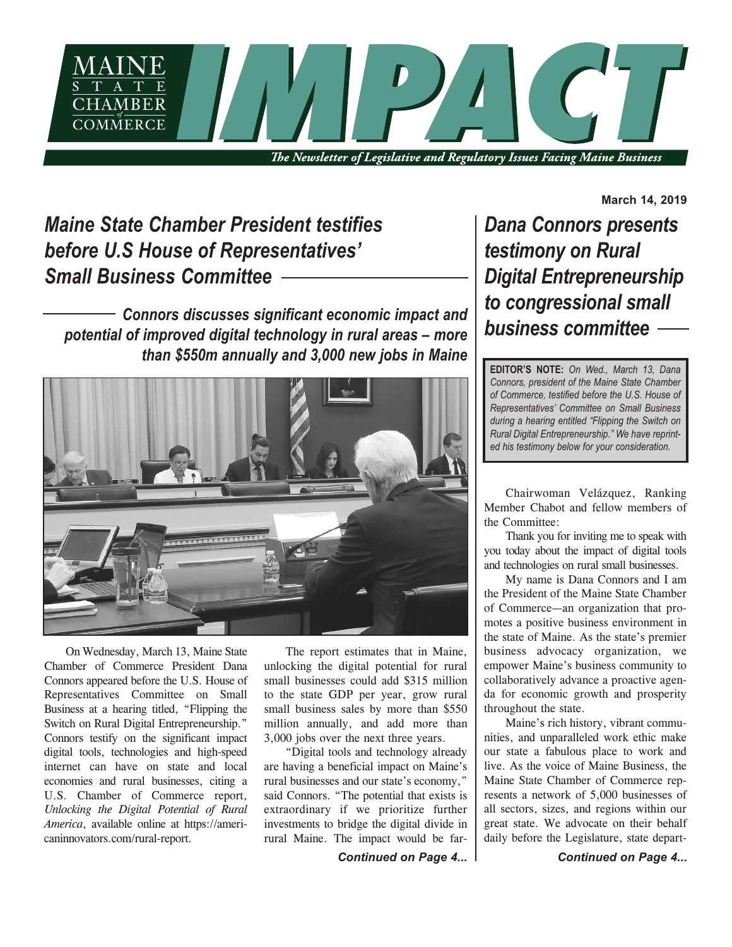

The Newsletter of Legislative and Regulatory Issues Facing Maine Business

# *Maine State Chamber President testifies before U.S House of Representatives' Small Business Committee*

*Connors discusses significant economic impact and potential of improved digital technology in rural areas – more than \$550m annually and 3,000 new jobs in Maine*



On Wednesday, March 13, Maine State Chamber of Commerce President Dana Connors appeared before the U.S. House of Representatives Committee on Small Business at a hearing titled, "Flipping the Switch on Rural Digital Entrepreneurship." Connors testify on the significant impact digital tools, technologies and high-speed internet can have on state and local economies and rural businesses, citing a U.S. Chamber of Commerce report, *Unlocking the Digital Potential of Rural America*, available online at https://americaninnovators.com/rural-report.

The report estimates that in Maine, unlocking the digital potential for rural small businesses could add \$315 million to the state GDP per year, grow rural small business sales by more than \$550 million annually, and add more than 3,000 jobs over the next three years.

"Digital tools and technology already are having a beneficial impact on Maine's rural businesses and our state's economy," said Connors. "The potential that exists is extraordinary if we prioritize further investments to bridge the digital divide in rural Maine. The impact would be far-

*Continued on Page 4... Continued on Page 4...*

**March 14, 2019**

*Dana Connors presents testimony on Rural Digital Entrepreneurship to congressional small business committee*

**EDITOR'S NOTE:** *On Wed., March 13, Dana Connors, president of the Maine State Chamber of Commerce, testified before the U.S. House of Representatives' Committee on Small Business during a hearing entitled "Flipping the Switch on Rural Digital Entrepreneurship." We have reprinted his testimony below for your consideration.*

Chairwoman Velázquez, Ranking Member Chabot and fellow members of the Committee:

Thank you for inviting me to speak with you today about the impact of digital tools and technologies on rural small businesses.

My name is Dana Connors and I am the President of the Maine State Chamber of Commerce—an organization that promotes a positive business environment in the state of Maine. As the state's premier business advocacy organization, we empower Maine's business community to collaboratively advance a proactive agenda for economic growth and prosperity throughout the state.

Maine's rich history, vibrant communities, and unparalleled work ethic make our state a fabulous place to work and live. As the voice of Maine Business, the Maine State Chamber of Commerce represents a network of 5,000 businesses of all sectors, sizes, and regions within our great state. We advocate on their behalf daily before the Legislature, state depart-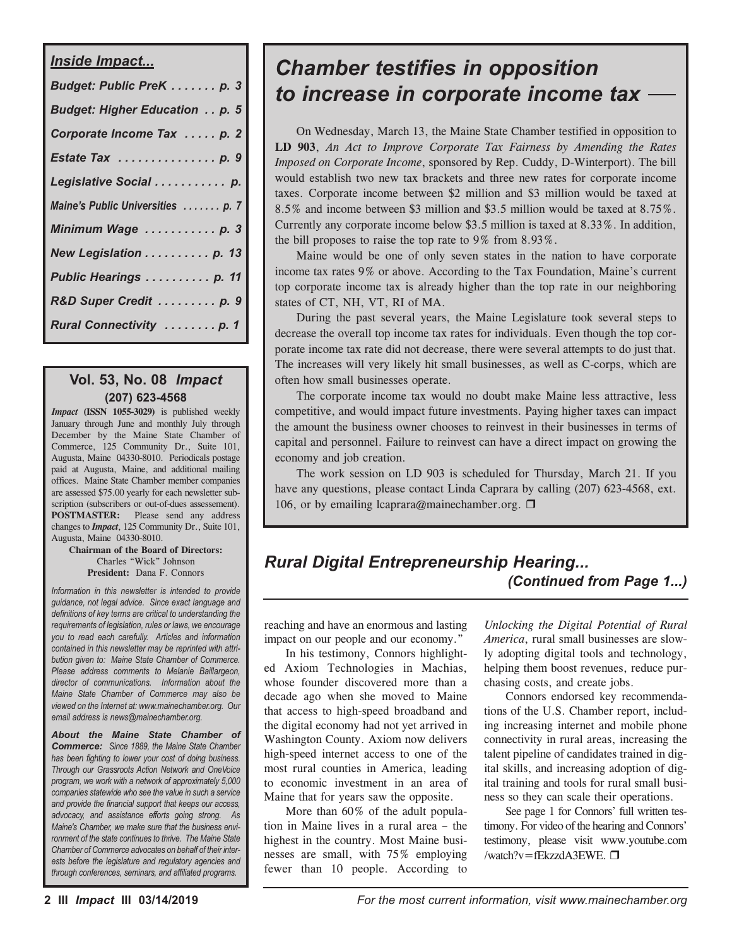| <b>Inside Impact</b>                  |
|---------------------------------------|
| Budget: Public PreK  p. 3             |
| <b>Budget: Higher Education  p. 5</b> |
| Corporate Income Tax  p. 2            |
| Estate Tax p. 9                       |
| Legislative Social  p.                |
| Maine's Public Universities  p. 7     |
| Minimum Wage  p. 3                    |
| New Legislation  p. 13                |
| Public Hearings p. 11                 |
| R&D Super Credit  p. 9                |
| Rural Connectivity  p. 1              |

# **Vol. 53, No. 08** *Impact* **(207) 623-4568**

*Impact* **(ISSN 1055-3029)** is published weekly January through June and monthly July through December by the Maine State Chamber of Commerce, 125 Community Dr., Suite 101, Augusta, Maine 04330-8010. Periodicals postage paid at Augusta, Maine, and additional mailing offices. Maine State Chamber member companies are assessed \$75.00 yearly for each newsletter subscription (subscribers or out-of-dues assessement). **POSTMASTER:** Please send any address changes to *Impact*, 125 Community Dr., Suite 101, Augusta, Maine 04330-8010.

#### **Chairman of the Board of Directors:** Charles "Wick" Johnson **President:** Dana F. Connors

*Information in this newsletter is intended to provide guidance, not legal advice. Since exact language and definitions of key terms are critical to understanding the requirements of legislation, rules or laws, we encourage you to read each carefully. Articles and information contained in this newsletter may be reprinted with attribution given to: Maine State Chamber of Commerce. Please address comments to Melanie Baillargeon, director of communications. Information about the Maine State Chamber of Commerce may also be viewed on the Internet at: www.mainechamber.org. Our email address is news@mainechamber.org.*

*About the Maine State Chamber of Commerce: Since 1889, the Maine State Chamber has been fighting to lower your cost of doing business. Through our Grassroots Action Network and OneVoice program, we work with a network of approximately 5,000 companies statewide who see the value in such a service and provide the financial support that keeps our access, advocacy, and assistance efforts going strong. As Maine's Chamber, we make sure that the business environment of the state continues to thrive. The Maine State Chamber of Commerce advocates on behalf of their interests before the legislature and regulatory agencies and through conferences, seminars, and affiliated programs.*

# *Chamber testifies in opposition to increase in corporate income tax*

On Wednesday, March 13, the Maine State Chamber testified in opposition to **LD 903**, *An Act to Improve Corporate Tax Fairness by Amending the Rates Imposed on Corporate Income*, sponsored by Rep. Cuddy, D-Winterport). The bill would establish two new tax brackets and three new rates for corporate income taxes. Corporate income between \$2 million and \$3 million would be taxed at 8.5% and income between \$3 million and \$3.5 million would be taxed at 8.75%. Currently any corporate income below \$3.5 million is taxed at 8.33%. In addition, the bill proposes to raise the top rate to 9% from 8.93%.

Maine would be one of only seven states in the nation to have corporate income tax rates 9% or above. According to the Tax Foundation, Maine's current top corporate income tax is already higher than the top rate in our neighboring states of CT, NH, VT, RI of MA.

During the past several years, the Maine Legislature took several steps to decrease the overall top income tax rates for individuals. Even though the top corporate income tax rate did not decrease, there were several attempts to do just that. The increases will very likely hit small businesses, as well as C-corps, which are often how small businesses operate.

The corporate income tax would no doubt make Maine less attractive, less competitive, and would impact future investments. Paying higher taxes can impact the amount the business owner chooses to reinvest in their businesses in terms of capital and personnel. Failure to reinvest can have a direct impact on growing the economy and job creation.

The work session on LD 903 is scheduled for Thursday, March 21. If you have any questions, please contact Linda Caprara by calling (207) 623-4568, ext. 106, or by emailing lcaprara@mainechamber.org.  $\Box$ 

# *Rural Digital Entrepreneurship Hearing... (Continued from Page 1...)*

reaching and have an enormous and lasting impact on our people and our economy."

In his testimony, Connors highlighted Axiom Technologies in Machias, whose founder discovered more than a decade ago when she moved to Maine that access to high-speed broadband and the digital economy had not yet arrived in Washington County. Axiom now delivers high-speed internet access to one of the most rural counties in America, leading to economic investment in an area of Maine that for years saw the opposite.

More than  $60\%$  of the adult population in Maine lives in a rural area – the highest in the country. Most Maine businesses are small, with 75% employing fewer than 10 people. According to

*Unlocking the Digital Potential of Rural America*, rural small businesses are slowly adopting digital tools and technology, helping them boost revenues, reduce purchasing costs, and create jobs.

Connors endorsed key recommendations of the U.S. Chamber report, including increasing internet and mobile phone connectivity in rural areas, increasing the talent pipeline of candidates trained in digital skills, and increasing adoption of digital training and tools for rural small business so they can scale their operations.

See page 1 for Connors' full written testimony. For video of the hearing and Connors' testimony, please visit www.youtube.com /watch?v=fEkzzdA3EWE.  $\Box$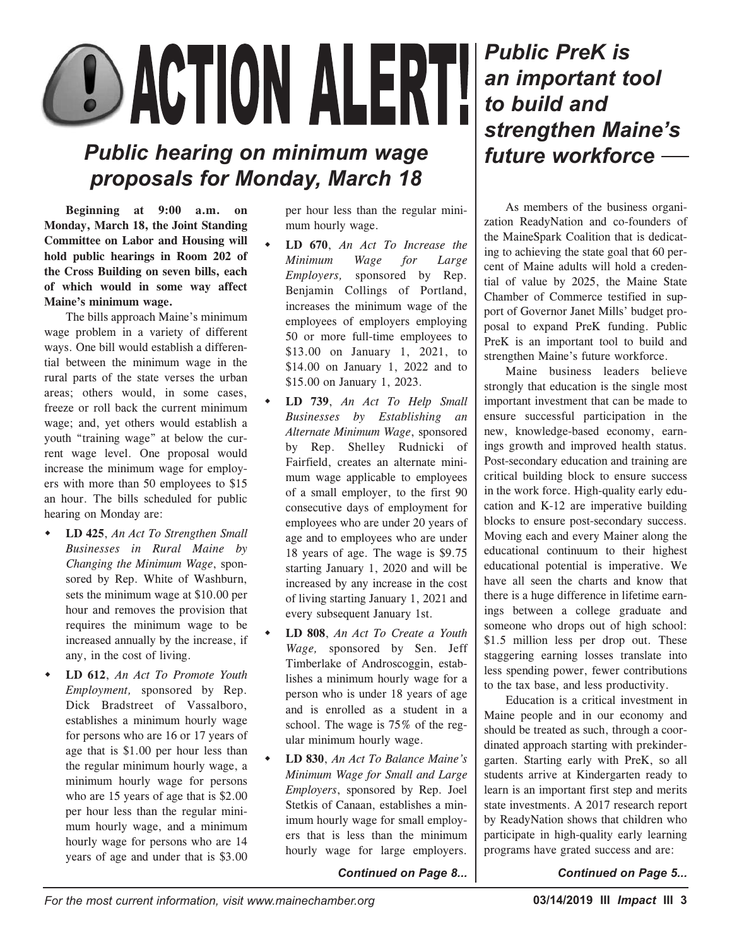# **OD ACTION ALERT!**

# *Public hearing on minimum wage proposals for Monday, March 18*

**Beginning at 9:00 a.m. on Monday, March 18, the Joint Standing Committee on Labor and Housing will hold public hearings in Room 202 of the Cross Building on seven bills, each of which would in some way affect Maine's minimum wage.**

The bills approach Maine's minimum wage problem in a variety of different ways. One bill would establish a differential between the minimum wage in the rural parts of the state verses the urban areas; others would, in some cases, freeze or roll back the current minimum wage; and, yet others would establish a youth "training wage" at below the current wage level. One proposal would increase the minimum wage for employers with more than 50 employees to \$15 an hour. The bills scheduled for public hearing on Monday are:

- LD 425, An Act To Strengthen Small *Businesses in Rural Maine by Changing the Minimum Wage*, sponsored by Rep. White of Washburn, sets the minimum wage at \$10.00 per hour and removes the provision that requires the minimum wage to be increased annually by the increase, if any, in the cost of living.
- w **LD 612**, *An Act To Promote Youth Employment,* sponsored by Rep. Dick Bradstreet of Vassalboro, establishes a minimum hourly wage for persons who are 16 or 17 years of age that is \$1.00 per hour less than the regular minimum hourly wage, a minimum hourly wage for persons who are 15 years of age that is \$2.00 per hour less than the regular minimum hourly wage, and a minimum hourly wage for persons who are 14 years of age and under that is \$3.00

per hour less than the regular minimum hourly wage.

- w **LD 670**, *An Act To Increase the Minimum Wage for Large Employers,* sponsored by Rep. Benjamin Collings of Portland, increases the minimum wage of the employees of employers employing 50 or more full-time employees to \$13.00 on January 1, 2021, to \$14.00 on January 1, 2022 and to \$15.00 on January 1, 2023.
- w **LD 739**, *An Act To Help Small Businesses by Establishing an Alternate Minimum Wage*, sponsored by Rep. Shelley Rudnicki of Fairfield, creates an alternate minimum wage applicable to employees of a small employer, to the first 90 consecutive days of employment for employees who are under 20 years of age and to employees who are under 18 years of age. The wage is \$9.75 starting January 1, 2020 and will be increased by any increase in the cost of living starting January 1, 2021 and every subsequent January 1st.
- w **LD 808**, *An Act To Create a Youth Wage,* sponsored by Sen. Jeff Timberlake of Androscoggin, establishes a minimum hourly wage for a person who is under 18 years of age and is enrolled as a student in a school. The wage is 75% of the regular minimum hourly wage.
- w **LD 830**, *An Act To Balance Maine's Minimum Wage for Small and Large Employers*, sponsored by Rep. Joel Stetkis of Canaan, establishes a minimum hourly wage for small employers that is less than the minimum hourly wage for large employers.

*Continued on Page 8... Continued on Page 5...*

# *Public PreK is an important tool to build and strengthen Maine's future workforce*

As members of the business organization ReadyNation and co-founders of the MaineSpark Coalition that is dedicating to achieving the state goal that 60 percent of Maine adults will hold a credential of value by 2025, the Maine State Chamber of Commerce testified in support of Governor Janet Mills' budget proposal to expand PreK funding. Public PreK is an important tool to build and strengthen Maine's future workforce.

Maine business leaders believe strongly that education is the single most important investment that can be made to ensure successful participation in the new, knowledge-based economy, earnings growth and improved health status. Post-secondary education and training are critical building block to ensure success in the work force. High-quality early education and K-12 are imperative building blocks to ensure post-secondary success. Moving each and every Mainer along the educational continuum to their highest educational potential is imperative. We have all seen the charts and know that there is a huge difference in lifetime earnings between a college graduate and someone who drops out of high school: \$1.5 million less per drop out. These staggering earning losses translate into less spending power, fewer contributions to the tax base, and less productivity.

Education is a critical investment in Maine people and in our economy and should be treated as such, through a coordinated approach starting with prekindergarten. Starting early with PreK, so all students arrive at Kindergarten ready to learn is an important first step and merits state investments. A 2017 research report by ReadyNation shows that children who participate in high-quality early learning programs have grated success and are: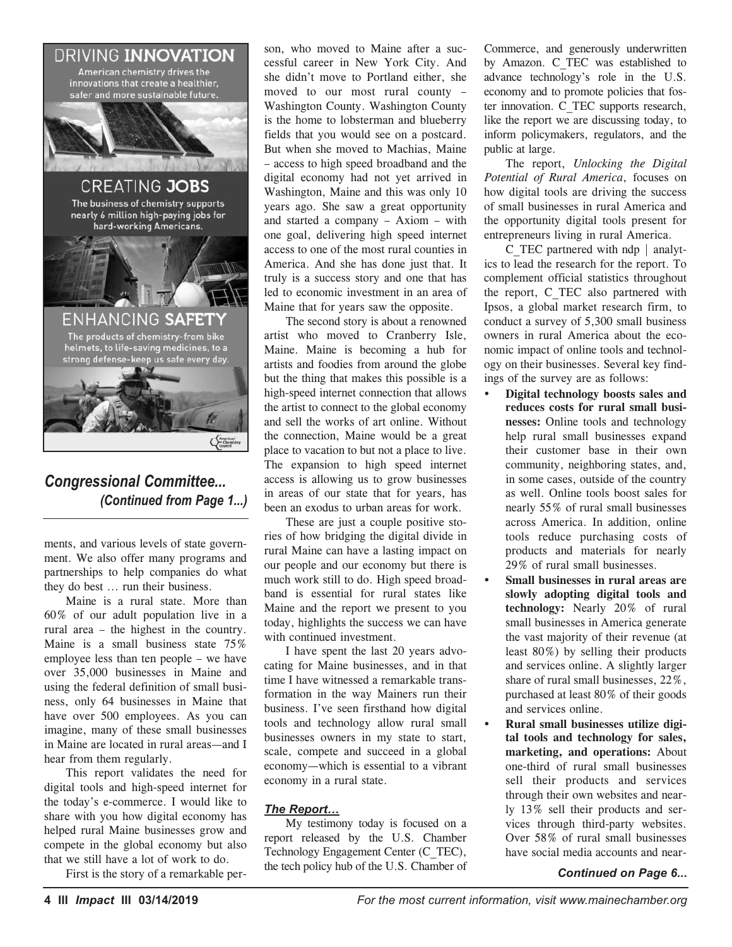

# *Congressional Committee... (Continued from Page 1...)*

ments, and various levels of state government. We also offer many programs and partnerships to help companies do what they do best ... run their business.

Maine is a rural state. More than 60% of our adult population live in a rural area – the highest in the country. Maine is a small business state 75% employee less than ten people – we have over 35,000 businesses in Maine and using the federal definition of small business, only 64 businesses in Maine that have over 500 employees. As you can imagine, many of these small businesses in Maine are located in rural areas—and I hear from them regularly.

This report validates the need for digital tools and high-speed internet for the today's e-commerce. I would like to share with you how digital economy has helped rural Maine businesses grow and compete in the global economy but also that we still have a lot of work to do.

First is the story of a remarkable per-

son, who moved to Maine after a successful career in New York City. And she didn't move to Portland either, she moved to our most rural county – Washington County. Washington County is the home to lobsterman and blueberry fields that you would see on a postcard. But when she moved to Machias, Maine – access to high speed broadband and the digital economy had not yet arrived in Washington, Maine and this was only 10 years ago. She saw a great opportunity and started a company – Axiom – with one goal, delivering high speed internet access to one of the most rural counties in America. And she has done just that. It truly is a success story and one that has led to economic investment in an area of Maine that for years saw the opposite.

The second story is about a renowned artist who moved to Cranberry Isle, Maine. Maine is becoming a hub for artists and foodies from around the globe but the thing that makes this possible is a high-speed internet connection that allows the artist to connect to the global economy and sell the works of art online. Without the connection, Maine would be a great place to vacation to but not a place to live. The expansion to high speed internet access is allowing us to grow businesses in areas of our state that for years, has been an exodus to urban areas for work.

These are just a couple positive stories of how bridging the digital divide in rural Maine can have a lasting impact on our people and our economy but there is much work still to do. High speed broadband is essential for rural states like Maine and the report we present to you today, highlights the success we can have with continued investment.

I have spent the last 20 years advocating for Maine businesses, and in that time I have witnessed a remarkable transformation in the way Mainers run their business. I've seen firsthand how digital tools and technology allow rural small businesses owners in my state to start, scale, compete and succeed in a global economy—which is essential to a vibrant economy in a rural state.

#### *The Report…*

My testimony today is focused on a report released by the U.S. Chamber Technology Engagement Center (C\_TEC), the tech policy hub of the U.S. Chamber of

Commerce, and generously underwritten by Amazon. C\_TEC was established to advance technology's role in the U.S. economy and to promote policies that foster innovation. C\_TEC supports research, like the report we are discussing today, to inform policymakers, regulators, and the public at large.

The report, *Unlocking the Digital Potential of Rural America*, focuses on how digital tools are driving the success of small businesses in rural America and the opportunity digital tools present for entrepreneurs living in rural America.

C\_TEC partnered with ndp | analytics to lead the research for the report. To complement official statistics throughout the report, C\_TEC also partnered with Ipsos, a global market research firm, to conduct a survey of 5,300 small business owners in rural America about the economic impact of online tools and technology on their businesses. Several key findings of the survey are as follows:

- Ÿ **Digital technology boosts sales and reduces costs for rural small businesses:** Online tools and technology help rural small businesses expand their customer base in their own community, neighboring states, and, in some cases, outside of the country as well. Online tools boost sales for nearly 55% of rural small businesses across America. In addition, online tools reduce purchasing costs of products and materials for nearly 29% of rural small businesses.
- Ÿ **Small businesses in rural areas are slowly adopting digital tools and technology:** Nearly 20% of rural small businesses in America generate the vast majority of their revenue (at least 80%) by selling their products and services online. A slightly larger share of rural small businesses, 22%, purchased at least 80% of their goods and services online.
- Ÿ **Rural small businesses utilize digital tools and technology for sales, marketing, and operations:** About one-third of rural small businesses sell their products and services through their own websites and nearly 13% sell their products and services through third-party websites. Over 58% of rural small businesses have social media accounts and near-

#### *Continued on Page 6...*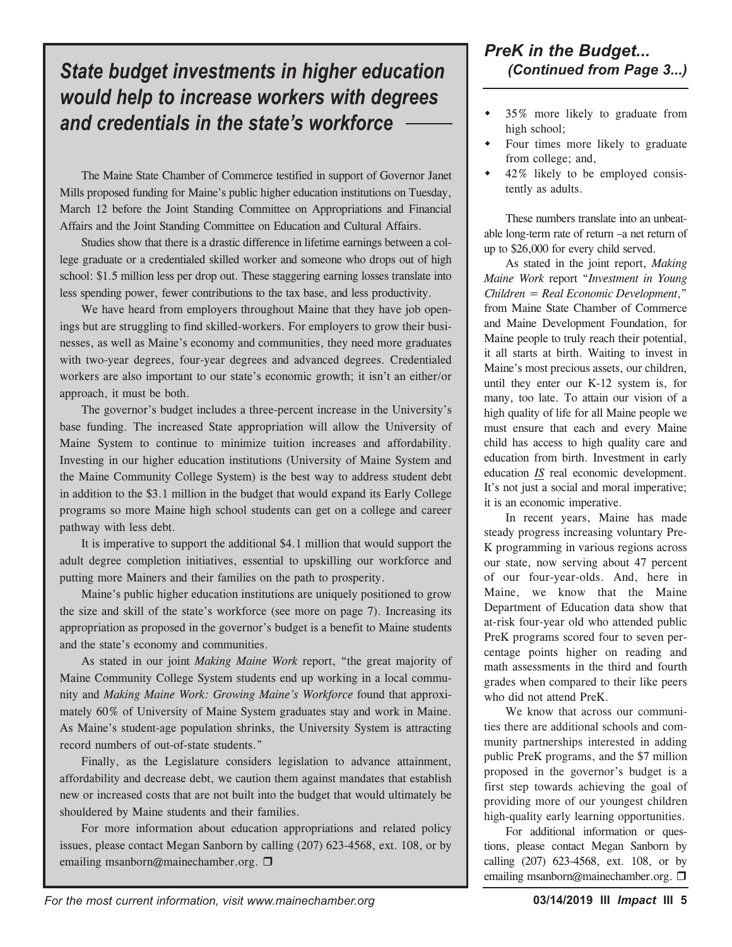# *S (Continued from Page 3...) tate budget investments in higher education would help to increase workers with degrees and credentials in the state's workforce*

The Maine State Chamber of Commerce testified in support of Governor Janet Mills proposed funding for Maine's public higher education institutions on Tuesday, March 12 before the Joint Standing Committee on Appropriations and Financial Affairs and the Joint Standing Committee on Education and Cultural Affairs.

Studies show that there is a drastic difference in lifetime earnings between a college graduate or a credentialed skilled worker and someone who drops out of high school: \$1.5 million less per drop out. These staggering earning losses translate into less spending power, fewer contributions to the tax base, and less productivity.

We have heard from employers throughout Maine that they have job openings but are struggling to find skilled-workers. For employers to grow their businesses, as well as Maine's economy and communities, they need more graduates with two-year degrees, four-year degrees and advanced degrees. Credentialed workers are also important to our state's economic growth; it isn't an either/or approach, it must be both.

The governor's budget includes a three-percent increase in the University's base funding. The increased State appropriation will allow the University of Maine System to continue to minimize tuition increases and affordability. Investing in our higher education institutions (University of Maine System and the Maine Community College System) is the best way to address student debt in addition to the \$3.1 million in the budget that would expand its Early College programs so more Maine high school students can get on a college and career pathway with less debt.

It is imperative to support the additional \$4.1 million that would support the adult degree completion initiatives, essential to upskilling our workforce and putting more Mainers and their families on the path to prosperity.

Maine's public higher education institutions are uniquely positioned to grow the size and skill of the state's workforce (see more on page 7). Increasing its appropriation as proposed in the governor's budget is a benefit to Maine students and the state's economy and communities.

As stated in our joint *Making Maine Work* report, "the great majority of Maine Community College System students end up working in a local community and *Making Maine Work: Growing Maine's Workforce* found that approximately 60% of University of Maine System graduates stay and work in Maine. As Maine's student-age population shrinks, the University System is attracting record numbers of out-of-state students."

Finally, as the Legislature considers legislation to advance attainment, affordability and decrease debt, we caution them against mandates that establish new or increased costs that are not built into the budget that would ultimately be shouldered by Maine students and their families.

For more information about education appropriations and related policy issues, please contact Megan Sanborn by calling (207) 623-4568, ext. 108, or by emailing msanborn@mainechamber.org.  $\square$ 

# *PreK in the Budget...*

- 35% more likely to graduate from high school;
- Four times more likely to graduate from college; and,
- $42\%$  likely to be employed consistently as adults.

These numbers translate into an unbeatable long-term rate of return –a net return of up to \$26,000 for every child served.

As stated in the joint report, *Making Maine Work* report "*Investment in Young Children = Real Economic Development*," from Maine State Chamber of Commerce and Maine Development Foundation, for Maine people to truly reach their potential, it all starts at birth. Waiting to invest in Maine's most precious assets, our children, until they enter our K-12 system is, for many, too late. To attain our vision of a high quality of life for all Maine people we must ensure that each and every Maine child has access to high quality care and education from birth. Investment in early education *IS* real economic development. It's not just a social and moral imperative; it is an economic imperative.

In recent years, Maine has made steady progress increasing voluntary Pre-K programming in various regions across our state, now serving about 47 percent of our four-year-olds. And, here in Maine, we know that the Maine Department of Education data show that at-risk four-year old who attended public PreK programs scored four to seven percentage points higher on reading and math assessments in the third and fourth grades when compared to their like peers who did not attend PreK.

We know that across our communities there are additional schools and community partnerships interested in adding public PreK programs, and the \$7 million proposed in the governor's budget is a first step towards achieving the goal of providing more of our youngest children high-quality early learning opportunities.

For additional information or questions, please contact Megan Sanborn by calling (207) 623-4568, ext. 108, or by emailing msanborn@mainechamber.org. □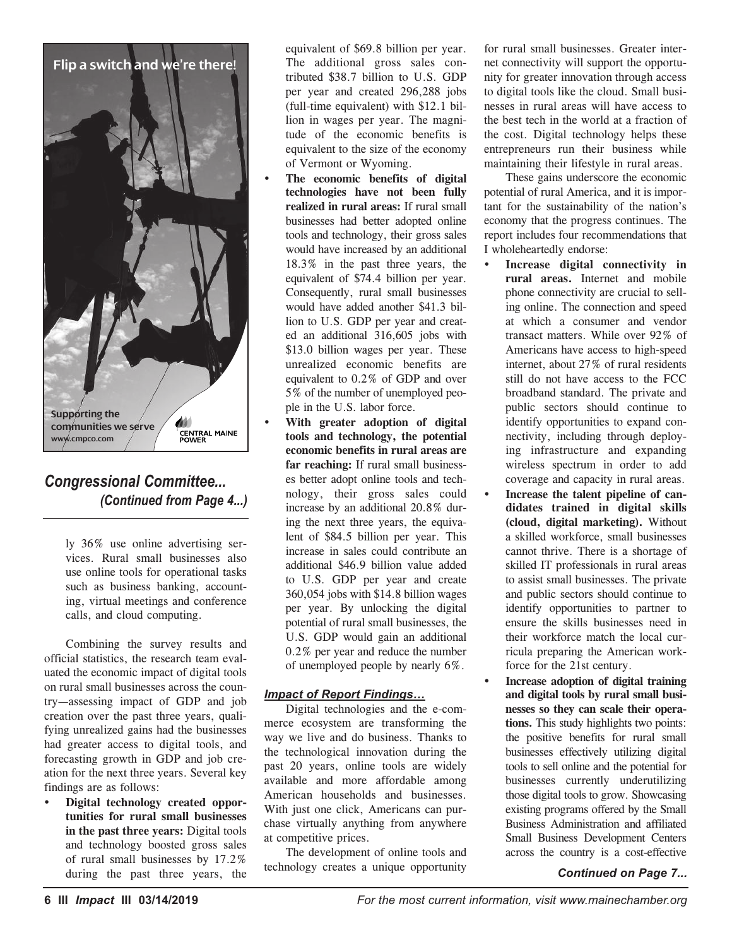

# *Congressional Committee... (Continued from Page 4...)*

ly 36% use online advertising services. Rural small businesses also use online tools for operational tasks such as business banking, accounting, virtual meetings and conference calls, and cloud computing.

Combining the survey results and official statistics, the research team evaluated the economic impact of digital tools on rural small businesses across the country—assessing impact of GDP and job creation over the past three years, qualifying unrealized gains had the businesses had greater access to digital tools, and forecasting growth in GDP and job creation for the next three years. Several key findings are as follows:

 $\cdot$  **Digital technology created opportunities for rural small businesses in the past three years:** Digital tools and technology boosted gross sales of rural small businesses by 17.2% during the past three years, the equivalent of \$69.8 billion per year. The additional gross sales contributed \$38.7 billion to U.S. GDP per year and created 296,288 jobs (full-time equivalent) with \$12.1 billion in wages per year. The magnitude of the economic benefits is equivalent to the size of the economy of Vermont or Wyoming.

- Ÿ **The economic benefits of digital technologies have not been fully realized in rural areas:** If rural small businesses had better adopted online tools and technology, their gross sales would have increased by an additional 18.3% in the past three years, the equivalent of \$74.4 billion per year. Consequently, rural small businesses would have added another \$41.3 billion to U.S. GDP per year and created an additional 316,605 jobs with \$13.0 billion wages per year. These unrealized economic benefits are equivalent to 0.2% of GDP and over 5% of the number of unemployed people in the U.S. labor force.
- Ÿ **With greater adoption of digital tools and technology, the potential economic benefits in rural areas are far reaching:** If rural small businesses better adopt online tools and technology, their gross sales could increase by an additional 20.8% during the next three years, the equivalent of \$84.5 billion per year. This increase in sales could contribute an additional \$46.9 billion value added to U.S. GDP per year and create 360,054 jobs with \$14.8 billion wages per year. By unlocking the digital potential of rural small businesses, the U.S. GDP would gain an additional 0.2% per year and reduce the number of unemployed people by nearly 6%.

#### *Impact of Report Findings…*

Digital technologies and the e-commerce ecosystem are transforming the way we live and do business. Thanks to the technological innovation during the past 20 years, online tools are widely available and more affordable among American households and businesses. With just one click, Americans can purchase virtually anything from anywhere at competitive prices.

The development of online tools and technology creates a unique opportunity

for rural small businesses. Greater internet connectivity will support the opportunity for greater innovation through access to digital tools like the cloud. Small businesses in rural areas will have access to the best tech in the world at a fraction of the cost. Digital technology helps these entrepreneurs run their business while maintaining their lifestyle in rural areas.

These gains underscore the economic potential of rural America, and it is important for the sustainability of the nation's economy that the progress continues. The report includes four recommendations that I wholeheartedly endorse:

- Ÿ **Increase digital connectivity in rural areas.** Internet and mobile phone connectivity are crucial to selling online. The connection and speed at which a consumer and vendor transact matters. While over 92% of Americans have access to high-speed internet, about 27% of rural residents still do not have access to the FCC broadband standard. The private and public sectors should continue to identify opportunities to expand connectivity, including through deploying infrastructure and expanding wireless spectrum in order to add coverage and capacity in rural areas.
- Increase the talent pipeline of can**didates trained in digital skills (cloud, digital marketing).** Without a skilled workforce, small businesses cannot thrive. There is a shortage of skilled IT professionals in rural areas to assist small businesses. The private and public sectors should continue to identify opportunities to partner to ensure the skills businesses need in their workforce match the local curricula preparing the American workforce for the 21st century.
- Ÿ **Increase adoption of digital training and digital tools by rural small businesses so they can scale their operations.** This study highlights two points: the positive benefits for rural small businesses effectively utilizing digital tools to sell online and the potential for businesses currently underutilizing those digital tools to grow. Showcasing existing programs offered by the Small Business Administration and affiliated Small Business Development Centers across the country is a cost-effective

#### *Continued on Page 7...*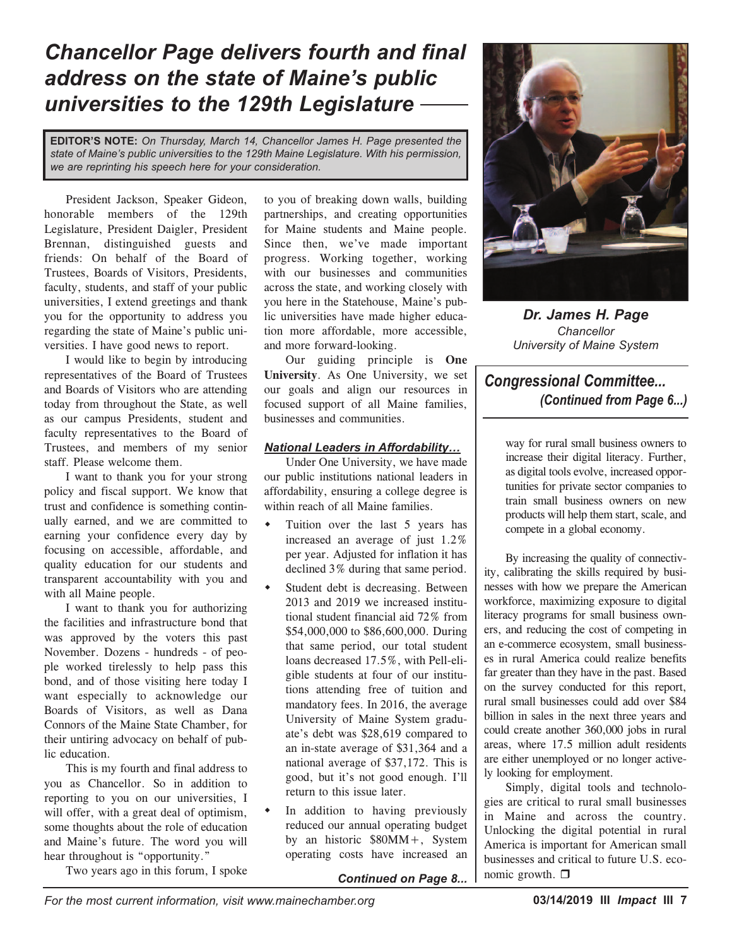# *Chancellor Page delivers fourth and final address on the state of Maine's public universities to the 129th Legislature*

**EDITOR'S NOTE:** *On Thursday, March 14, Chancellor James H. Page presented the state of Maine's public universities to the 129th Maine Legislature. With his permission, we are reprinting his speech here for your consideration.*

President Jackson, Speaker Gideon, honorable members of the 129th Legislature, President Daigler, President Brennan, distinguished guests and friends: On behalf of the Board of Trustees, Boards of Visitors, Presidents, faculty, students, and staff of your public universities, I extend greetings and thank you for the opportunity to address you regarding the state of Maine's public universities. I have good news to report.

I would like to begin by introducing representatives of the Board of Trustees and Boards of Visitors who are attending today from throughout the State, as well as our campus Presidents, student and faculty representatives to the Board of Trustees, and members of my senior staff. Please welcome them.

I want to thank you for your strong policy and fiscal support. We know that trust and confidence is something continually earned, and we are committed to earning your confidence every day by focusing on accessible, affordable, and quality education for our students and transparent accountability with you and with all Maine people.

I want to thank you for authorizing the facilities and infrastructure bond that was approved by the voters this past November. Dozens - hundreds - of people worked tirelessly to help pass this bond, and of those visiting here today I want especially to acknowledge our Boards of Visitors, as well as Dana Connors of the Maine State Chamber, for their untiring advocacy on behalf of public education.

This is my fourth and final address to you as Chancellor. So in addition to reporting to you on our universities, I will offer, with a great deal of optimism, some thoughts about the role of education and Maine's future. The word you will hear throughout is "opportunity."

Two years ago in this forum, I spoke

to you of breaking down walls, building partnerships, and creating opportunities for Maine students and Maine people. Since then, we've made important progress. Working together, working with our businesses and communities across the state, and working closely with you here in the Statehouse, Maine's public universities have made higher education more affordable, more accessible, and more forward-looking.

Our guiding principle is **One University**. As One University, we set our goals and align our resources in focused support of all Maine families, businesses and communities.

#### *National Leaders in Affordability…*

Under One University, we have made our public institutions national leaders in affordability, ensuring a college degree is within reach of all Maine families.

- $\bullet$  Tuition over the last 5 years has increased an average of just 1.2% per year. Adjusted for inflation it has declined 3% during that same period.
- Student debt is decreasing. Between 2013 and 2019 we increased institutional student financial aid 72% from \$54,000,000 to \$86,600,000. During that same period, our total student loans decreased 17.5%, with Pell-eligible students at four of our institutions attending free of tuition and mandatory fees. In 2016, the average University of Maine System graduate's debt was \$28,619 compared to an in-state average of \$31,364 and a national average of \$37,172. This is good, but it's not good enough. I'll return to this issue later.
- In addition to having previously reduced our annual operating budget by an historic \$80MM+, System operating costs have increased an



*Dr. James H. Page Chancellor University of Maine System*

# *Congressional Committee... (Continued from Page 6...)*

way for rural small business owners to increase their digital literacy. Further, as digital tools evolve, increased opportunities for private sector companies to train small business owners on new products will help them start, scale, and compete in a global economy.

By increasing the quality of connectivity, calibrating the skills required by businesses with how we prepare the American workforce, maximizing exposure to digital literacy programs for small business owners, and reducing the cost of competing in an e-commerce ecosystem, small businesses in rural America could realize benefits far greater than they have in the past. Based on the survey conducted for this report, rural small businesses could add over \$84 billion in sales in the next three years and could create another 360,000 jobs in rural areas, where 17.5 million adult residents are either unemployed or no longer actively looking for employment.

Simply, digital tools and technologies are critical to rural small businesses in Maine and across the country. Unlocking the digital potential in rural America is important for American small businesses and critical to future U.S. economic growth.  $\Box$ 

*Continued on Page 8...*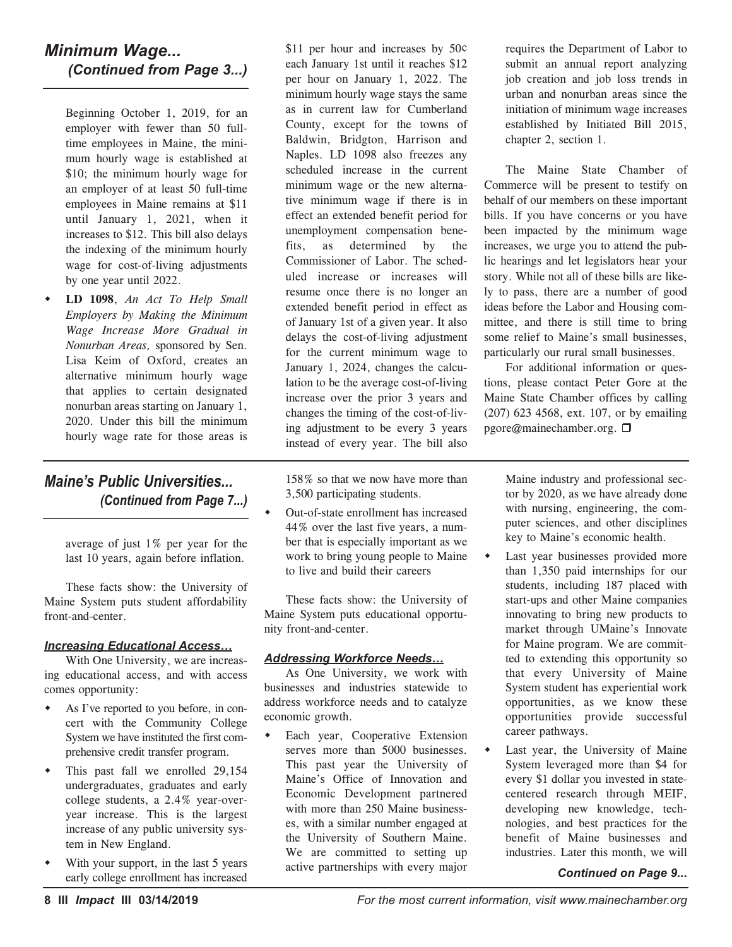# *Minimum Wage... (Continued from Page 3...)*

Beginning October 1, 2019, for an employer with fewer than 50 fulltime employees in Maine, the minimum hourly wage is established at \$10; the minimum hourly wage for an employer of at least 50 full-time employees in Maine remains at \$11 until January 1, 2021, when it increases to \$12. This bill also delays the indexing of the minimum hourly wage for cost-of-living adjustments by one year until 2022.

w **LD 1098**, *An Act To Help Small Employers by Making the Minimum Wage Increase More Gradual in Nonurban Areas,* sponsored by Sen. Lisa Keim of Oxford, creates an alternative minimum hourly wage that applies to certain designated nonurban areas starting on January 1, 2020. Under this bill the minimum hourly wage rate for those areas is

# *Maine's Public Universities... (Continued from Page 7...)*

average of just 1% per year for the last 10 years, again before inflation.

These facts show: the University of Maine System puts student affordability front-and-center.

#### *Increasing Educational Access…*

With One University, we are increasing educational access, and with access comes opportunity:

- As I've reported to you before, in concert with the Community College System we have instituted the first comprehensive credit transfer program.
- This past fall we enrolled 29,154 undergraduates, graduates and early college students, a 2.4% year-overyear increase. This is the largest increase of any public university system in New England.
- With your support, in the last 5 years early college enrollment has increased

\$11 per hour and increases by 50¢ each January 1st until it reaches \$12 per hour on January 1, 2022. The minimum hourly wage stays the same as in current law for Cumberland County, except for the towns of Baldwin, Bridgton, Harrison and Naples. LD 1098 also freezes any scheduled increase in the current minimum wage or the new alternative minimum wage if there is in effect an extended benefit period for unemployment compensation benefits, as determined by the Commissioner of Labor. The scheduled increase or increases will resume once there is no longer an extended benefit period in effect as of January 1st of a given year. It also delays the cost-of-living adjustment for the current minimum wage to January 1, 2024, changes the calculation to be the average cost-of-living increase over the prior 3 years and changes the timing of the cost-of-living adjustment to be every 3 years instead of every year. The bill also

158% so that we now have more than 3,500 participating students.

Out-of-state enrollment has increased 44% over the last five years, a number that is especially important as we work to bring young people to Maine to live and build their careers

These facts show: the University of Maine System puts educational opportunity front-and-center.

#### *Addressing Workforce Needs…*

As One University, we work with businesses and industries statewide to address workforce needs and to catalyze economic growth.

Each year, Cooperative Extension serves more than 5000 businesses. This past year the University of Maine's Office of Innovation and Economic Development partnered with more than 250 Maine businesses, with a similar number engaged at the University of Southern Maine. We are committed to setting up active partnerships with every major

requires the Department of Labor to submit an annual report analyzing job creation and job loss trends in urban and nonurban areas since the initiation of minimum wage increases established by Initiated Bill 2015, chapter 2, section 1.

The Maine State Chamber of Commerce will be present to testify on behalf of our members on these important bills. If you have concerns or you have been impacted by the minimum wage increases, we urge you to attend the public hearings and let legislators hear your story. While not all of these bills are likely to pass, there are a number of good ideas before the Labor and Housing committee, and there is still time to bring some relief to Maine's small businesses, particularly our rural small businesses.

For additional information or questions, please contact Peter Gore at the Maine State Chamber offices by calling (207) 623 4568, ext. 107, or by emailing pgore@mainechamber.org. □

> Maine industry and professional sector by 2020, as we have already done with nursing, engineering, the computer sciences, and other disciplines key to Maine's economic health.

- Last year businesses provided more than 1,350 paid internships for our students, including 187 placed with start-ups and other Maine companies innovating to bring new products to market through UMaine's Innovate for Maine program. We are committed to extending this opportunity so that every University of Maine System student has experiential work opportunities, as we know these opportunities provide successful career pathways.
- Last year, the University of Maine System leveraged more than \$4 for every \$1 dollar you invested in statecentered research through MEIF, developing new knowledge, technologies, and best practices for the benefit of Maine businesses and industries. Later this month, we will

#### *Continued on Page 9...*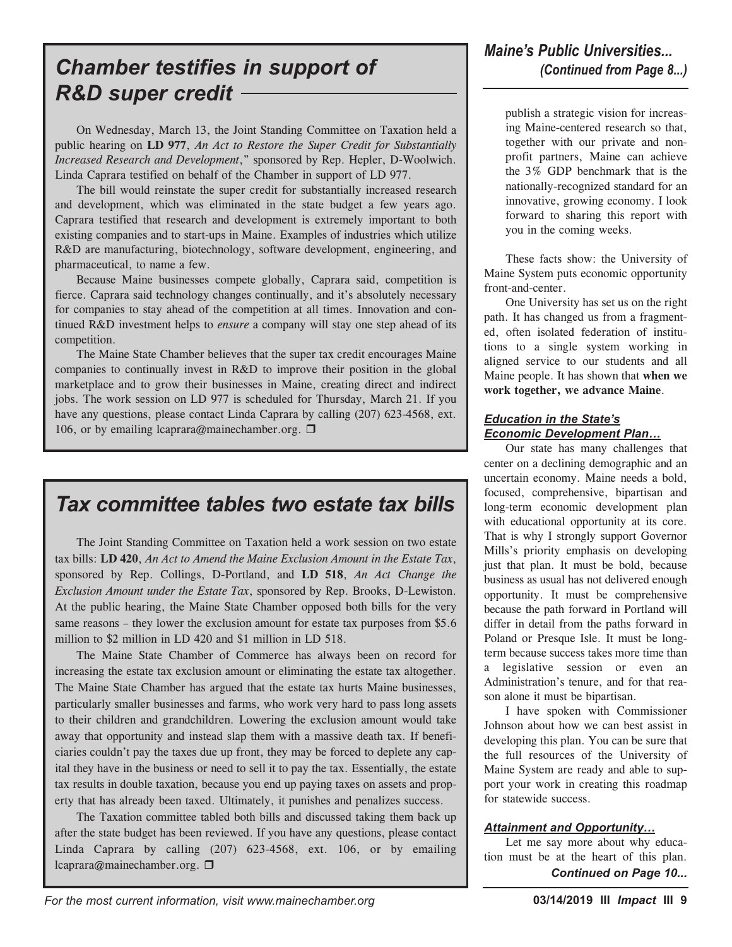# *Chamber testifies in support of R&D super credit*

On Wednesday, March 13, the Joint Standing Committee on Taxation held a public hearing on **LD 977**, *An Act to Restore the Super Credit for Substantially Increased Research and Development*," sponsored by Rep. Hepler, D-Woolwich. Linda Caprara testified on behalf of the Chamber in support of LD 977.

The bill would reinstate the super credit for substantially increased research and development, which was eliminated in the state budget a few years ago. Caprara testified that research and development is extremely important to both existing companies and to start-ups in Maine. Examples of industries which utilize R&D are manufacturing, biotechnology, software development, engineering, and pharmaceutical, to name a few.

Because Maine businesses compete globally, Caprara said, competition is fierce. Caprara said technology changes continually, and it's absolutely necessary for companies to stay ahead of the competition at all times. Innovation and continued R&D investment helps to *ensure* a company will stay one step ahead of its competition.

The Maine State Chamber believes that the super tax credit encourages Maine companies to continually invest in R&D to improve their position in the global marketplace and to grow their businesses in Maine, creating direct and indirect jobs. The work session on LD 977 is scheduled for Thursday, March 21. If you have any questions, please contact Linda Caprara by calling (207) 623-4568, ext. 106, or by emailing lcaprara@mainechamber.org.  $\Box$ 

# *Tax committee tables two estate tax bills*

The Joint Standing Committee on Taxation held a work session on two estate tax bills: **LD 420**, *An Act to Amend the Maine Exclusion Amount in the Estate Tax*, sponsored by Rep. Collings, D-Portland, and **LD 518**, *An Act Change the Exclusion Amount under the Estate Tax*, sponsored by Rep. Brooks, D-Lewiston. At the public hearing, the Maine State Chamber opposed both bills for the very same reasons – they lower the exclusion amount for estate tax purposes from \$5.6 million to \$2 million in LD 420 and \$1 million in LD 518.

The Maine State Chamber of Commerce has always been on record for increasing the estate tax exclusion amount or eliminating the estate tax altogether. The Maine State Chamber has argued that the estate tax hurts Maine businesses, particularly smaller businesses and farms, who work very hard to pass long assets to their children and grandchildren. Lowering the exclusion amount would take away that opportunity and instead slap them with a massive death tax. If beneficiaries couldn't pay the taxes due up front, they may be forced to deplete any capital they have in the business or need to sell it to pay the tax. Essentially, the estate tax results in double taxation, because you end up paying taxes on assets and property that has already been taxed. Ultimately, it punishes and penalizes success.

The Taxation committee tabled both bills and discussed taking them back up after the state budget has been reviewed. If you have any questions, please contact Linda Caprara by calling (207) 623-4568, ext. 106, or by emailing lcaprara@mainechamber.org.  $\Box$ 

publish a strategic vision for increasing Maine-centered research so that, together with our private and nonprofit partners, Maine can achieve the 3% GDP benchmark that is the nationally-recognized standard for an innovative, growing economy. I look forward to sharing this report with you in the coming weeks.

These facts show: the University of Maine System puts economic opportunity front-and-center.

One University has set us on the right path. It has changed us from a fragmented, often isolated federation of institutions to a single system working in aligned service to our students and all Maine people. It has shown that **when we work together, we advance Maine**.

#### *Education in the State's Economic Development Plan…*

Our state has many challenges that center on a declining demographic and an uncertain economy. Maine needs a bold, focused, comprehensive, bipartisan and long-term economic development plan with educational opportunity at its core. That is why I strongly support Governor Mills's priority emphasis on developing just that plan. It must be bold, because business as usual has not delivered enough opportunity. It must be comprehensive because the path forward in Portland will differ in detail from the paths forward in Poland or Presque Isle. It must be longterm because success takes more time than a legislative session or even an Administration's tenure, and for that reason alone it must be bipartisan.

I have spoken with Commissioner Johnson about how we can best assist in developing this plan. You can be sure that the full resources of the University of Maine System are ready and able to support your work in creating this roadmap for statewide success.

#### *Attainment and Opportunity…*

Let me say more about why education must be at the heart of this plan. *Continued on Page 10...*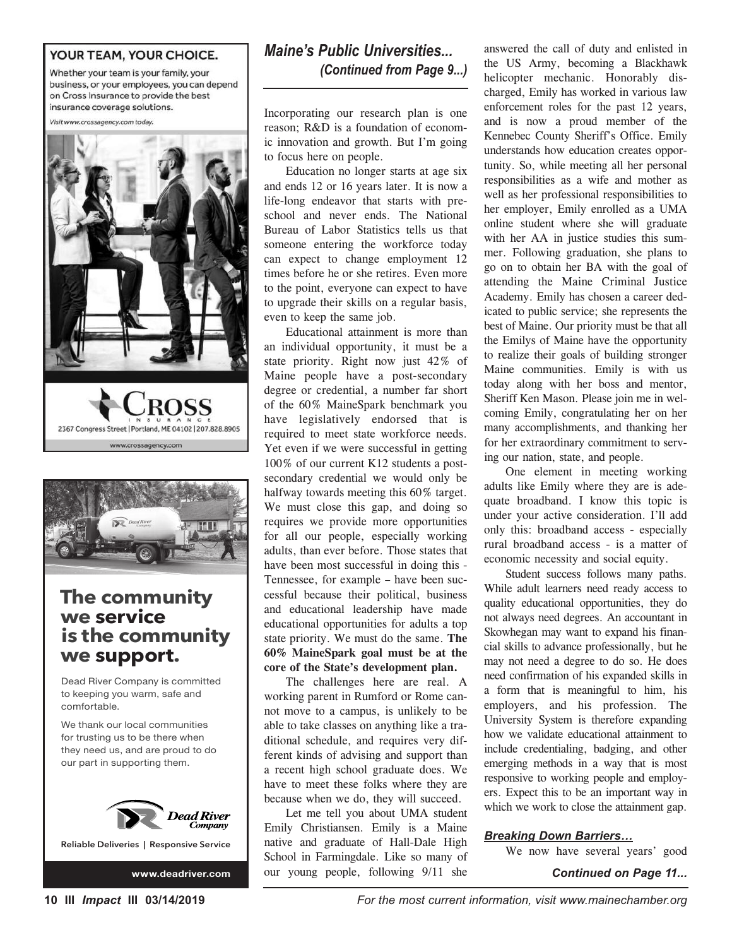#### YOUR TEAM, YOUR CHOICE.

Whether your team is your family, your business, or your employees, you can depend on Cross Insurance to provide the best insurance coverage solutions.

Visit www.crossagency.com today.





# **The community we service is the community we support.**

Dead River Company is committed to keeping you warm, safe and comfortable.

We thank our local communities for trusting us to be there when they need us, and are proud to do our part in supporting them.



**Reliable Deliveries | Responsive Service**

# *Maine's Public Universities... (Continued from Page 9...)*

Incorporating our research plan is one reason; R&D is a foundation of economic innovation and growth. But I'm going to focus here on people.

Education no longer starts at age six and ends 12 or 16 years later. It is now a life-long endeavor that starts with preschool and never ends. The National Bureau of Labor Statistics tells us that someone entering the workforce today can expect to change employment 12 times before he or she retires. Even more to the point, everyone can expect to have to upgrade their skills on a regular basis, even to keep the same job.

Educational attainment is more than an individual opportunity, it must be a state priority. Right now just 42% of Maine people have a post-secondary degree or credential, a number far short of the 60% MaineSpark benchmark you have legislatively endorsed that is required to meet state workforce needs. Yet even if we were successful in getting 100% of our current K12 students a postsecondary credential we would only be halfway towards meeting this 60% target. We must close this gap, and doing so requires we provide more opportunities for all our people, especially working adults, than ever before. Those states that have been most successful in doing this - Tennessee, for example – have been successful because their political, business and educational leadership have made educational opportunities for adults a top state priority. We must do the same. **The 60% MaineSpark goal must be at the core of the State's development plan.**

The challenges here are real. A working parent in Rumford or Rome cannot move to a campus, is unlikely to be able to take classes on anything like a traditional schedule, and requires very different kinds of advising and support than a recent high school graduate does. We have to meet these folks where they are because when we do, they will succeed.

Let me tell you about UMA student Emily Christiansen. Emily is a Maine native and graduate of Hall-Dale High School in Farmingdale. Like so many of www.deadriver.com our young people, following  $9/11$  she **Continued on Page 11...** 

answered the call of duty and enlisted in the US Army, becoming a Blackhawk helicopter mechanic. Honorably discharged, Emily has worked in various law enforcement roles for the past 12 years, and is now a proud member of the Kennebec County Sheriff's Office. Emily understands how education creates opportunity. So, while meeting all her personal responsibilities as a wife and mother as well as her professional responsibilities to her employer, Emily enrolled as a UMA online student where she will graduate with her AA in justice studies this summer. Following graduation, she plans to go on to obtain her BA with the goal of attending the Maine Criminal Justice Academy. Emily has chosen a career dedicated to public service; she represents the best of Maine. Our priority must be that all the Emilys of Maine have the opportunity to realize their goals of building stronger Maine communities. Emily is with us today along with her boss and mentor, Sheriff Ken Mason. Please join me in welcoming Emily, congratulating her on her many accomplishments, and thanking her for her extraordinary commitment to serving our nation, state, and people.

One element in meeting working adults like Emily where they are is adequate broadband. I know this topic is under your active consideration. I'll add only this: broadband access - especially rural broadband access - is a matter of economic necessity and social equity.

Student success follows many paths. While adult learners need ready access to quality educational opportunities, they do not always need degrees. An accountant in Skowhegan may want to expand his financial skills to advance professionally, but he may not need a degree to do so. He does need confirmation of his expanded skills in a form that is meaningful to him, his employers, and his profession. The University System is therefore expanding how we validate educational attainment to include credentialing, badging, and other emerging methods in a way that is most responsive to working people and employers. Expect this to be an important way in which we work to close the attainment gap.

#### *Breaking Down Barriers…*

We now have several years' good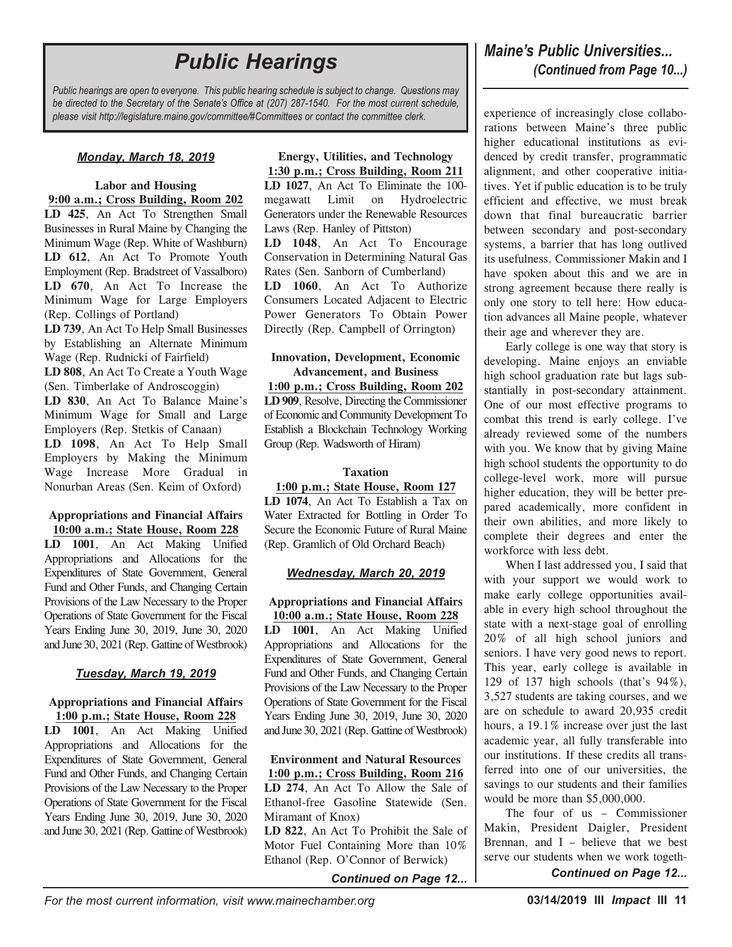*Public hearings are open to everyone. This public hearing schedule is subject to change. Questions may be directed to the Secretary of the Senate's Office at (207) 287-1540. For the most current schedule, please visit http://legislature.maine.gov/committee/#Committees or contact the committee clerk.*

#### *Monday, March 18, 2019*

#### **Labor and Housing 9:00 a.m.; Cross Building, Room 202**

**LD 425**, An Act To Strengthen Small Businesses in Rural Maine by Changing the Minimum Wage (Rep. White of Washburn) **LD 612**, An Act To Promote Youth Employment (Rep. Bradstreet of Vassalboro) **LD 670**, An Act To Increase the Minimum Wage for Large Employers (Rep. Collings of Portland)

**LD 739**, An Act To Help Small Businesses by Establishing an Alternate Minimum Wage (Rep. Rudnicki of Fairfield)

**LD 808**, An Act To Create a Youth Wage (Sen. Timberlake of Androscoggin) **LD 830**, An Act To Balance Maine's Minimum Wage for Small and Large Employers (Rep. Stetkis of Canaan) **LD 1098**, An Act To Help Small Employers by Making the Minimum Wage Increase More Gradual in Nonurban Areas (Sen. Keim of Oxford)

#### **Appropriations and Financial Affairs 10:00 a.m.; State House, Room 228**

**LD 1001**, An Act Making Unified Appropriations and Allocations for the Expenditures of State Government, General Fund and Other Funds, and Changing Certain Provisions of the Law Necessary to the Proper Operations of State Government for the Fiscal Years Ending June 30, 2019, June 30, 2020 and June 30, 2021 (Rep. Gattine of Westbrook)

#### *Tuesday, March 19, 2019*

#### **Appropriations and Financial Affairs 1:00 p.m.; State House, Room 228**

**LD 1001**, An Act Making Unified Appropriations and Allocations for the Expenditures of State Government, General Fund and Other Funds, and Changing Certain Provisions of the Law Necessary to the Proper Operations of State Government for the Fiscal Years Ending June 30, 2019, June 30, 2020 and June 30, 2021 (Rep. Gattine of Westbrook)

#### **Energy, Utilities, and Technology 1:30 p.m.; Cross Building, Room 211**

**LD 1027**, An Act To Eliminate the 100 megawatt Limit on Hydroelectric Generators under the Renewable Resources Laws (Rep. Hanley of Pittston)

**LD 1048**, An Act To Encourage Conservation in Determining Natural Gas Rates (Sen. Sanborn of Cumberland)

**LD 1060**, An Act To Authorize Consumers Located Adjacent to Electric Power Generators To Obtain Power Directly (Rep. Campbell of Orrington)

#### **Innovation, Development, Economic Advancement, and Business**

**1:00 p.m.; Cross Building, Room 202 LD 909**, Resolve, Directing the Commissioner of Economic and Community Development To Establish a Blockchain Technology Working Group (Rep. Wadsworth of Hiram)

#### **Taxation**

#### **1:00 p.m.; State House, Room 127**

**LD 1074**, An Act To Establish a Tax on Water Extracted for Bottling in Order To Secure the Economic Future of Rural Maine (Rep. Gramlich of Old Orchard Beach)

#### *Wednesday, March 20, 2019*

#### **Appropriations and Financial Affairs 10:00 a.m.; State House, Room 228**

**LD 1001**, An Act Making Unified Appropriations and Allocations for the Expenditures of State Government, General Fund and Other Funds, and Changing Certain Provisions of the Law Necessary to the Proper Operations of State Government for the Fiscal Years Ending June 30, 2019, June 30, 2020 and June 30, 2021 (Rep. Gattine of Westbrook)

#### **Environment and Natural Resources 1:00 p.m.; Cross Building, Room 216**

**LD 274**, An Act To Allow the Sale of Ethanol-free Gasoline Statewide (Sen. Miramant of Knox)

**LD 822**, An Act To Prohibit the Sale of Motor Fuel Containing More than 10% Ethanol (Rep. O'Connor of Berwick)

*Continued on Page 12...*

# **Public Hearings Public** *Hearings* **Public** *Universities...*<br> *Continued from Page 10...*)

experience of increasingly close collaborations between Maine's three public higher educational institutions as evidenced by credit transfer, programmatic alignment, and other cooperative initiatives. Yet if public education is to be truly efficient and effective, we must break down that final bureaucratic barrier between secondary and post-secondary systems, a barrier that has long outlived its usefulness. Commissioner Makin and I have spoken about this and we are in strong agreement because there really is only one story to tell here: How education advances all Maine people, whatever their age and wherever they are.

Early college is one way that story is developing. Maine enjoys an enviable high school graduation rate but lags substantially in post-secondary attainment. One of our most effective programs to combat this trend is early college. I've already reviewed some of the numbers with you. We know that by giving Maine high school students the opportunity to do college-level work, more will pursue higher education, they will be better prepared academically, more confident in their own abilities, and more likely to complete their degrees and enter the workforce with less debt.

When I last addressed you, I said that with your support we would work to make early college opportunities available in every high school throughout the state with a next-stage goal of enrolling 20% of all high school juniors and seniors. I have very good news to report. This year, early college is available in 129 of 137 high schools (that's 94%), 3,527 students are taking courses, and we are on schedule to award 20,935 credit hours, a 19.1% increase over just the last academic year, all fully transferable into our institutions. If these credits all transferred into one of our universities, the savings to our students and their families would be more than \$5,000,000.

The four of us – Commissioner Makin, President Daigler, President Brennan, and I – believe that we best serve our students when we work togeth-*Continued on Page 12...*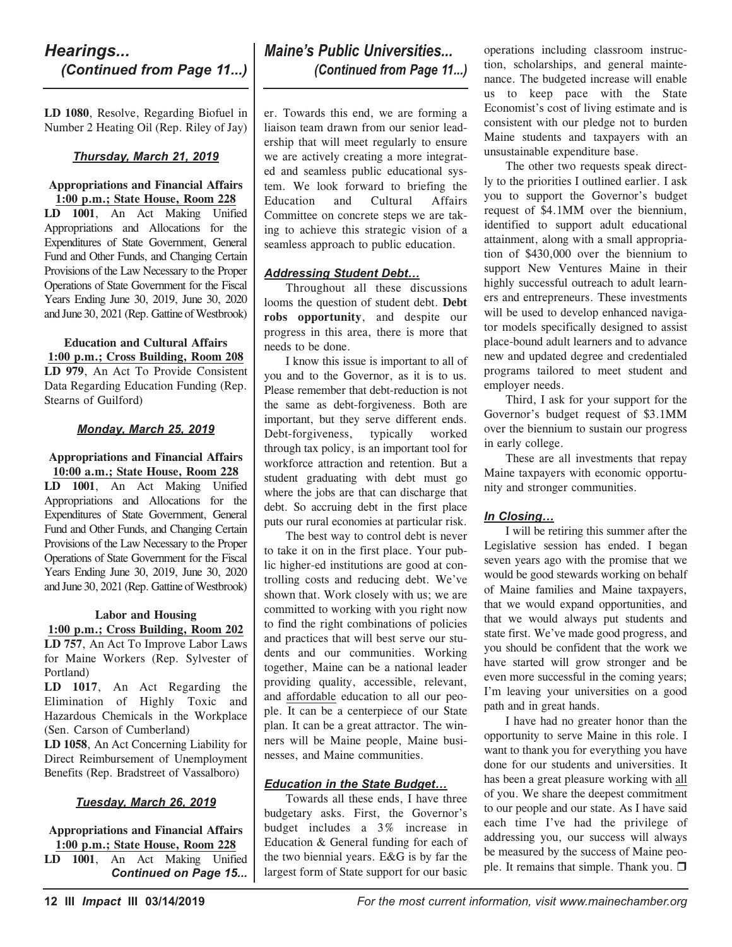## *Hearings... (Continued from Page 11...)*

**LD 1080**, Resolve, Regarding Biofuel in Number 2 Heating Oil (Rep. Riley of Jay)

#### *Thursday, March 21, 2019*

#### **Appropriations and Financial Affairs 1:00 p.m.; State House, Room 228**

**LD 1001**, An Act Making Unified Appropriations and Allocations for the Expenditures of State Government, General Fund and Other Funds, and Changing Certain Provisions of the Law Necessary to the Proper Operations of State Government for the Fiscal Years Ending June 30, 2019, June 30, 2020 and June 30, 2021 (Rep. Gattine of Westbrook)

**Education and Cultural Affairs 1:00 p.m.; Cross Building, Room 208 LD 979**, An Act To Provide Consistent Data Regarding Education Funding (Rep. Stearns of Guilford)

#### *Monday, March 25, 2019*

**Appropriations and Financial Affairs 10:00 a.m.; State House, Room 228 LD 1001**, An Act Making Unified Appropriations and Allocations for the Expenditures of State Government, General Fund and Other Funds, and Changing Certain Provisions of the Law Necessary to the Proper Operations of State Government for the Fiscal Years Ending June 30, 2019, June 30, 2020 and June 30, 2021 (Rep. Gattine of Westbrook)

#### **Labor and Housing**

**1:00 p.m.; Cross Building, Room 202 LD 757**, An Act To Improve Labor Laws for Maine Workers (Rep. Sylvester of Portland)

**LD 1017**, An Act Regarding the Elimination of Highly Toxic and Hazardous Chemicals in the Workplace (Sen. Carson of Cumberland)

**LD 1058**, An Act Concerning Liability for Direct Reimbursement of Unemployment Benefits (Rep. Bradstreet of Vassalboro)

#### *Tuesday, March 26, 2019*

**Appropriations and Financial Affairs 1:00 p.m.; State House, Room 228**

**LD 1001**, An Act Making Unified *Continued on Page 15...*

# *Maine's Public Universities... (Continued from Page 11...)*

er. Towards this end, we are forming a liaison team drawn from our senior leadership that will meet regularly to ensure we are actively creating a more integrated and seamless public educational system. We look forward to briefing the Education and Cultural Affairs Committee on concrete steps we are taking to achieve this strategic vision of a seamless approach to public education.

#### *Addressing Student Debt…*

Throughout all these discussions looms the question of student debt. **Debt robs opportunity**, and despite our progress in this area, there is more that needs to be done.

I know this issue is important to all of you and to the Governor, as it is to us. Please remember that debt-reduction is not the same as debt-forgiveness. Both are important, but they serve different ends. Debt-forgiveness, typically worked through tax policy, is an important tool for workforce attraction and retention. But a student graduating with debt must go where the jobs are that can discharge that debt. So accruing debt in the first place puts our rural economies at particular risk.

The best way to control debt is never to take it on in the first place. Your public higher-ed institutions are good at controlling costs and reducing debt. We've shown that. Work closely with us; we are committed to working with you right now to find the right combinations of policies and practices that will best serve our students and our communities. Working together, Maine can be a national leader providing quality, accessible, relevant, and affordable education to all our people. It can be a centerpiece of our State plan. It can be a great attractor. The winners will be Maine people, Maine businesses, and Maine communities.

#### *Education in the State Budget…*

Towards all these ends, I have three budgetary asks. First, the Governor's budget includes a 3% increase in Education & General funding for each of the two biennial years. E&G is by far the largest form of State support for our basic

operations including classroom instruction, scholarships, and general maintenance. The budgeted increase will enable us to keep pace with the State Economist's cost of living estimate and is consistent with our pledge not to burden Maine students and taxpayers with an unsustainable expenditure base.

The other two requests speak directly to the priorities I outlined earlier. I ask you to support the Governor's budget request of \$4.1MM over the biennium, identified to support adult educational attainment, along with a small appropriation of \$430,000 over the biennium to support New Ventures Maine in their highly successful outreach to adult learners and entrepreneurs. These investments will be used to develop enhanced navigator models specifically designed to assist place-bound adult learners and to advance new and updated degree and credentialed programs tailored to meet student and employer needs.

Third, I ask for your support for the Governor's budget request of \$3.1MM over the biennium to sustain our progress in early college.

These are all investments that repay Maine taxpayers with economic opportunity and stronger communities.

#### *In Closing…*

I will be retiring this summer after the Legislative session has ended. I began seven years ago with the promise that we would be good stewards working on behalf of Maine families and Maine taxpayers, that we would expand opportunities, and that we would always put students and state first. We've made good progress, and you should be confident that the work we have started will grow stronger and be even more successful in the coming years; I'm leaving your universities on a good path and in great hands.

I have had no greater honor than the opportunity to serve Maine in this role. I want to thank you for everything you have done for our students and universities. It has been a great pleasure working with all of you. We share the deepest commitment to our people and our state. As I have said each time I've had the privilege of addressing you, our success will always be measured by the success of Maine people. It remains that simple. Thank you.  $\Box$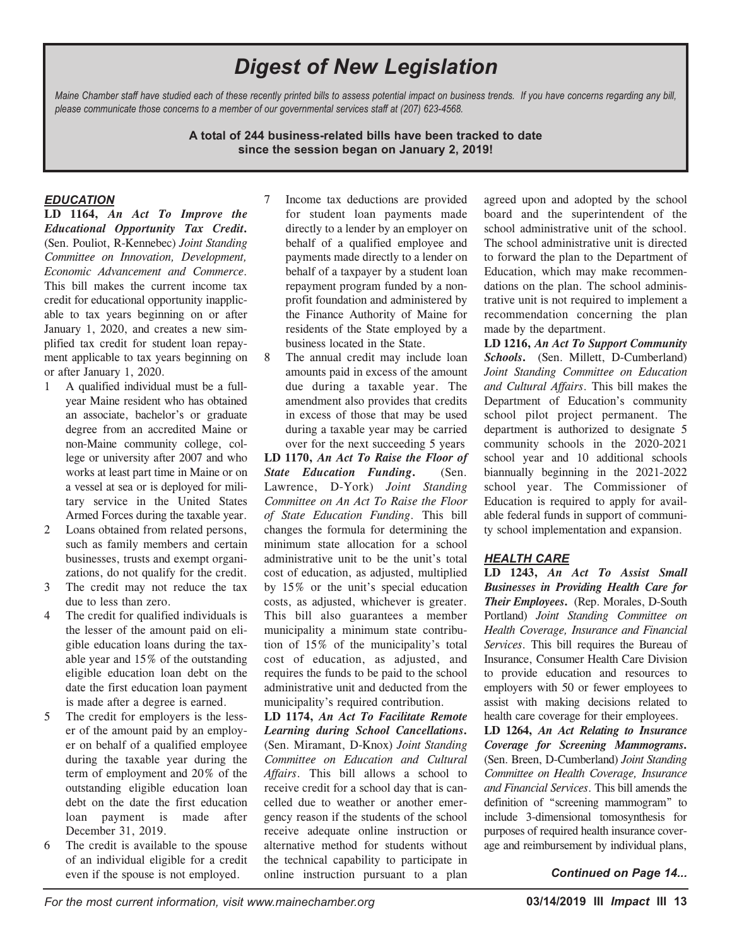# *Digest of New Legislation*

Maine Chamber staff have studied each of these recently printed bills to assess potential impact on business trends. If you have concerns regarding any bill, *please communicate those concerns to a member of our governmental services staff at (207) 623-4568.*

> **A total of 244 business-related bills have been tracked to date since the session began on January 2, 2019!**

#### *EDUCATION*

**LD 1164,** *An Act To Improve the Educational Opportunity Tax Credit***.** (Sen. Pouliot, R-Kennebec) *Joint Standing Committee on Innovation, Development, Economic Advancement and Commerce*. This bill makes the current income tax credit for educational opportunity inapplicable to tax years beginning on or after January 1, 2020, and creates a new simplified tax credit for student loan repayment applicable to tax years beginning on or after January 1, 2020.

- 1 A qualified individual must be a fullyear Maine resident who has obtained an associate, bachelor's or graduate degree from an accredited Maine or non-Maine community college, college or university after 2007 and who works at least part time in Maine or on a vessel at sea or is deployed for military service in the United States Armed Forces during the taxable year.
- 2 Loans obtained from related persons, such as family members and certain businesses, trusts and exempt organizations, do not qualify for the credit.
- 3 The credit may not reduce the tax due to less than zero.
- 4 The credit for qualified individuals is the lesser of the amount paid on eligible education loans during the taxable year and 15% of the outstanding eligible education loan debt on the date the first education loan payment is made after a degree is earned.
- 5 The credit for employers is the lesser of the amount paid by an employer on behalf of a qualified employee during the taxable year during the term of employment and 20% of the outstanding eligible education loan debt on the date the first education loan payment is made after December 31, 2019.
- 6 The credit is available to the spouse of an individual eligible for a credit even if the spouse is not employed.
- 7 Income tax deductions are provided for student loan payments made directly to a lender by an employer on behalf of a qualified employee and payments made directly to a lender on behalf of a taxpayer by a student loan repayment program funded by a nonprofit foundation and administered by the Finance Authority of Maine for residents of the State employed by a business located in the State.
- 8 The annual credit may include loan amounts paid in excess of the amount due during a taxable year. The amendment also provides that credits in excess of those that may be used during a taxable year may be carried over for the next succeeding 5 years

**LD 1170,** *An Act To Raise the Floor of State Education Funding***.** (Sen. Lawrence, D-York) *Joint Standing Committee on An Act To Raise the Floor of State Education Funding*. This bill changes the formula for determining the minimum state allocation for a school administrative unit to be the unit's total cost of education, as adjusted, multiplied by 15% or the unit's special education costs, as adjusted, whichever is greater. This bill also guarantees a member municipality a minimum state contribution of 15% of the municipality's total cost of education, as adjusted, and requires the funds to be paid to the school administrative unit and deducted from the municipality's required contribution.

**LD 1174,** *An Act To Facilitate Remote Learning during School Cancellations***.** (Sen. Miramant, D-Knox) *Joint Standing Committee on Education and Cultural Affairs*. This bill allows a school to receive credit for a school day that is cancelled due to weather or another emergency reason if the students of the school receive adequate online instruction or alternative method for students without the technical capability to participate in online instruction pursuant to a plan

agreed upon and adopted by the school board and the superintendent of the school administrative unit of the school. The school administrative unit is directed to forward the plan to the Department of Education, which may make recommendations on the plan. The school administrative unit is not required to implement a recommendation concerning the plan made by the department.

**LD 1216,** *An Act To Support Community Schools***.** (Sen. Millett, D-Cumberland) *Joint Standing Committee on Education and Cultural Affairs*. This bill makes the Department of Education's community school pilot project permanent. The department is authorized to designate 5 community schools in the 2020-2021 school year and 10 additional schools biannually beginning in the 2021-2022 school year. The Commissioner of Education is required to apply for available federal funds in support of community school implementation and expansion.

#### *HEALTH CARE*

**LD 1243,** *An Act To Assist Small Businesses in Providing Health Care for Their Employees***.** (Rep. Morales, D-South Portland) *Joint Standing Committee on Health Coverage, Insurance and Financial Services*. This bill requires the Bureau of Insurance, Consumer Health Care Division to provide education and resources to employers with 50 or fewer employees to assist with making decisions related to health care coverage for their employees.

**LD 1264,** *An Act Relating to Insurance Coverage for Screening Mammograms***.** (Sen. Breen, D-Cumberland) *Joint Standing Committee on Health Coverage, Insurance and Financial Services*. This bill amends the definition of "screening mammogram" to include 3-dimensional tomosynthesis for purposes of required health insurance coverage and reimbursement by individual plans,

*Continued on Page 14...*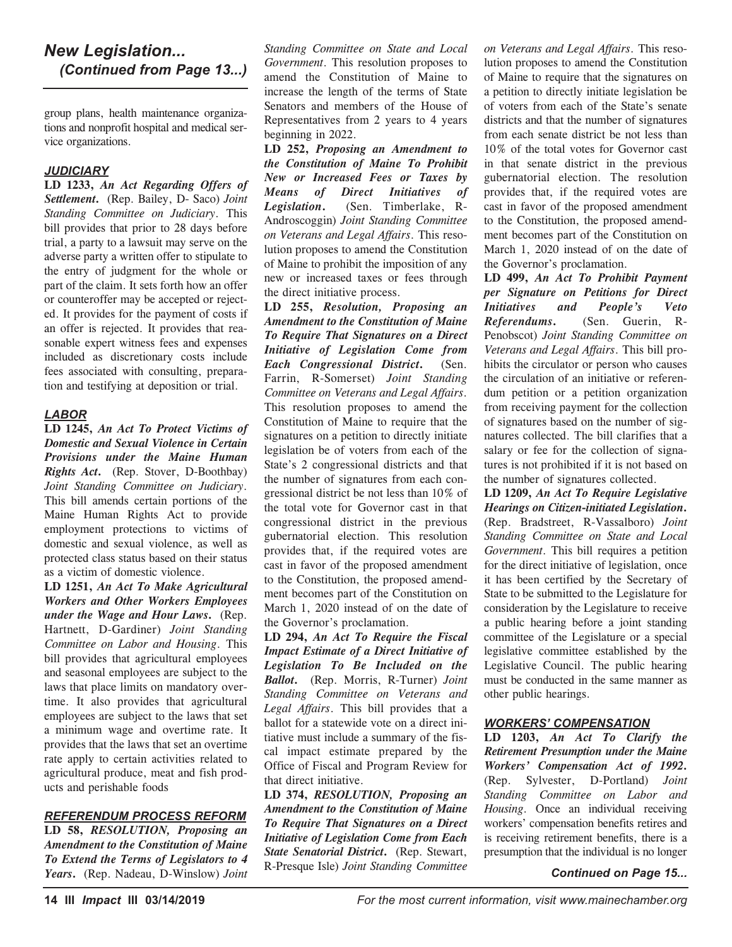## *New Legislation... (Continued from Page 13...)*

group plans, health maintenance organizations and nonprofit hospital and medical service organizations.

#### *JUDICIARY*

**LD 1233,** *An Act Regarding Offers of Settlement***.** (Rep. Bailey, D- Saco) *Joint Standing Committee on Judiciary*. This bill provides that prior to 28 days before trial, a party to a lawsuit may serve on the adverse party a written offer to stipulate to the entry of judgment for the whole or part of the claim. It sets forth how an offer or counteroffer may be accepted or rejected. It provides for the payment of costs if an offer is rejected. It provides that reasonable expert witness fees and expenses included as discretionary costs include fees associated with consulting, preparation and testifying at deposition or trial.

#### *LABOR*

**LD 1245,** *An Act To Protect Victims of Domestic and Sexual Violence in Certain Provisions under the Maine Human Rights Act***.** (Rep. Stover, D-Boothbay) *Joint Standing Committee on Judiciary*. This bill amends certain portions of the Maine Human Rights Act to provide employment protections to victims of domestic and sexual violence, as well as protected class status based on their status as a victim of domestic violence.

**LD 1251,** *An Act To Make Agricultural Workers and Other Workers Employees under the Wage and Hour Laws***.** (Rep. Hartnett, D-Gardiner) *Joint Standing Committee on Labor and Housing*. This bill provides that agricultural employees and seasonal employees are subject to the laws that place limits on mandatory overtime. It also provides that agricultural employees are subject to the laws that set a minimum wage and overtime rate. It provides that the laws that set an overtime rate apply to certain activities related to agricultural produce, meat and fish products and perishable foods

#### *REFERENDUM PROCESS REFORM*

**LD 58,** *RESOLUTION, Proposing an Amendment to the Constitution of Maine To Extend the Terms of Legislators to 4 Years***.** (Rep. Nadeau, D-Winslow) *Joint*

*Standing Committee on State and Local Government*. This resolution proposes to amend the Constitution of Maine to increase the length of the terms of State Senators and members of the House of Representatives from 2 years to 4 years beginning in 2022.

**LD 252,** *Proposing an Amendment to the Constitution of Maine To Prohibit New or Increased Fees or Taxes by Means of Direct Initiatives of Legislation***.** (Sen. Timberlake, R-Androscoggin) *Joint Standing Committee on Veterans and Legal Affairs*. This resolution proposes to amend the Constitution of Maine to prohibit the imposition of any new or increased taxes or fees through the direct initiative process.

**LD 255,** *Resolution, Proposing an Amendment to the Constitution of Maine To Require That Signatures on a Direct Initiative of Legislation Come from Each Congressional District***.** (Sen. Farrin, R-Somerset) *Joint Standing Committee on Veterans and Legal Affairs*. This resolution proposes to amend the Constitution of Maine to require that the signatures on a petition to directly initiate legislation be of voters from each of the State's 2 congressional districts and that the number of signatures from each congressional district be not less than 10% of the total vote for Governor cast in that congressional district in the previous gubernatorial election. This resolution provides that, if the required votes are cast in favor of the proposed amendment to the Constitution, the proposed amendment becomes part of the Constitution on March 1, 2020 instead of on the date of the Governor's proclamation.

**LD 294,** *An Act To Require the Fiscal Impact Estimate of a Direct Initiative of Legislation To Be Included on the Ballot***.** (Rep. Morris, R-Turner) *Joint Standing Committee on Veterans and Legal Affairs*. This bill provides that a ballot for a statewide vote on a direct initiative must include a summary of the fiscal impact estimate prepared by the Office of Fiscal and Program Review for that direct initiative.

**LD 374,** *RESOLUTION, Proposing an Amendment to the Constitution of Maine To Require That Signatures on a Direct Initiative of Legislation Come from Each State Senatorial District***.** (Rep. Stewart, R-Presque Isle) *Joint Standing Committee*

*on Veterans and Legal Affairs*. This resolution proposes to amend the Constitution of Maine to require that the signatures on a petition to directly initiate legislation be of voters from each of the State's senate districts and that the number of signatures from each senate district be not less than 10% of the total votes for Governor cast in that senate district in the previous gubernatorial election. The resolution provides that, if the required votes are cast in favor of the proposed amendment to the Constitution, the proposed amendment becomes part of the Constitution on March 1, 2020 instead of on the date of the Governor's proclamation.

**LD 499,** *An Act To Prohibit Payment per Signature on Petitions for Direct Initiatives and People's Veto Referendums***.** (Sen. Guerin, R-Penobscot) *Joint Standing Committee on Veterans and Legal Affairs*. This bill prohibits the circulator or person who causes the circulation of an initiative or referendum petition or a petition organization from receiving payment for the collection of signatures based on the number of signatures collected. The bill clarifies that a salary or fee for the collection of signatures is not prohibited if it is not based on the number of signatures collected.

**LD 1209,** *An Act To Require Legislative Hearings on Citizen-initiated Legislation***.** (Rep. Bradstreet, R-Vassalboro) *Joint Standing Committee on State and Local Government*. This bill requires a petition for the direct initiative of legislation, once it has been certified by the Secretary of State to be submitted to the Legislature for consideration by the Legislature to receive a public hearing before a joint standing committee of the Legislature or a special legislative committee established by the Legislative Council. The public hearing must be conducted in the same manner as other public hearings.

#### *WORKERS' COMPENSATION*

**LD 1203,** *An Act To Clarify the Retirement Presumption under the Maine Workers' Compensation Act of 1992***.** (Rep. Sylvester, D-Portland) *Joint Standing Committee on Labor and Housing*. Once an individual receiving workers' compensation benefits retires and is receiving retirement benefits, there is a presumption that the individual is no longer

#### *Continued on Page 15...*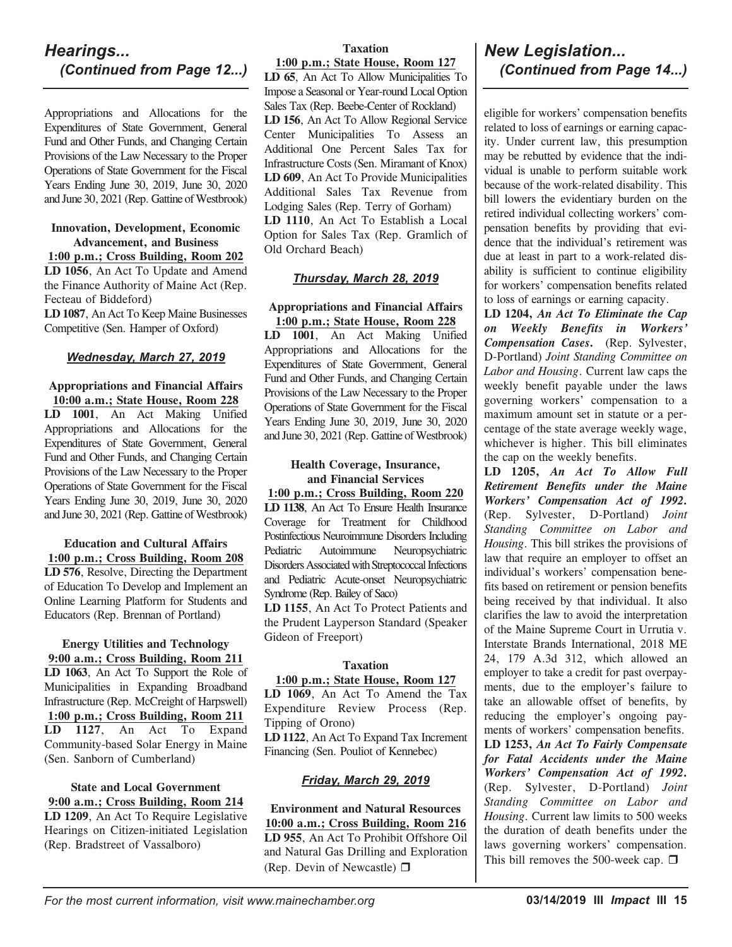## *Hearings... (Continued from Page 12...)*

Appropriations and Allocations for the Expenditures of State Government, General Fund and Other Funds, and Changing Certain Provisions of the Law Necessary to the Proper Operations of State Government for the Fiscal Years Ending June 30, 2019, June 30, 2020 and June 30, 2021 (Rep. Gattine of Westbrook)

#### **Innovation, Development, Economic Advancement, and Business**

**1:00 p.m.; Cross Building, Room 202 LD 1056**, An Act To Update and Amend the Finance Authority of Maine Act (Rep. Fecteau of Biddeford)

**LD 1087**, An Act To Keep Maine Businesses Competitive (Sen. Hamper of Oxford)

#### *Wednesday, March 27, 2019*

**Appropriations and Financial Affairs 10:00 a.m.; State House, Room 228 LD 1001**, An Act Making Unified Appropriations and Allocations for the Expenditures of State Government, General Fund and Other Funds, and Changing Certain Provisions of the Law Necessary to the Proper Operations of State Government for the Fiscal Years Ending June 30, 2019, June 30, 2020 and June 30, 2021 (Rep. Gattine of Westbrook)

**Education and Cultural Affairs 1:00 p.m.; Cross Building, Room 208 LD 576**, Resolve, Directing the Department of Education To Develop and Implement an Online Learning Platform for Students and Educators (Rep. Brennan of Portland)

**Energy Utilities and Technology 9:00 a.m.; Cross Building, Room 211 LD 1063**, An Act To Support the Role of Municipalities in Expanding Broadband Infrastructure (Rep. McCreight of Harpswell) **1:00 p.m.; Cross Building, Room 211 LD 1127**, An Act To Expand Community-based Solar Energy in Maine (Sen. Sanborn of Cumberland)

**State and Local Government 9:00 a.m.; Cross Building, Room 214 LD 1209**, An Act To Require Legislative Hearings on Citizen-initiated Legislation (Rep. Bradstreet of Vassalboro)

#### **Taxation**

**1:00 p.m.; State House, Room 127 LD 65**, An Act To Allow Municipalities To Impose a Seasonal or Year-round Local Option Sales Tax (Rep. Beebe-Center of Rockland) **LD 156**, An Act To Allow Regional Service Center Municipalities To Assess an Additional One Percent Sales Tax for Infrastructure Costs (Sen. Miramant of Knox) **LD 609**, An Act To Provide Municipalities Additional Sales Tax Revenue from Lodging Sales (Rep. Terry of Gorham) **LD 1110**, An Act To Establish a Local Option for Sales Tax (Rep. Gramlich of Old Orchard Beach)

#### *Thursday, March 28, 2019*

#### **Appropriations and Financial Affairs 1:00 p.m.; State House, Room 228**

**LD 1001**, An Act Making Unified Appropriations and Allocations for the Expenditures of State Government, General Fund and Other Funds, and Changing Certain Provisions of the Law Necessary to the Proper Operations of State Government for the Fiscal Years Ending June 30, 2019, June 30, 2020 and June 30, 2021 (Rep. Gattine of Westbrook)

#### **Health Coverage, Insurance, and Financial Services**

**1:00 p.m.; Cross Building, Room 220 LD 1138**, An Act To Ensure Health Insurance Coverage for Treatment for Childhood Postinfectious Neuroimmune Disorders Including Pediatric Autoimmune Neuropsychiatric Disorders Associated with Streptococcal Infections and Pediatric Acute-onset Neuropsychiatric Syndrome (Rep. Bailey of Saco) **LD 1155**, An Act To Protect Patients and

the Prudent Layperson Standard (Speaker Gideon of Freeport)

#### **Taxation**

#### **1:00 p.m.; State House, Room 127**

**LD 1069**, An Act To Amend the Tax Expenditure Review Process (Rep. Tipping of Orono)

**LD 1122**, An Act To Expand Tax Increment Financing (Sen. Pouliot of Kennebec)

#### *Friday, March 29, 2019*

**Environment and Natural Resources 10:00 a.m.; Cross Building, Room 216 LD 955**, An Act To Prohibit Offshore Oil and Natural Gas Drilling and Exploration (Rep. Devin of Newcastle)  $\Box$ 

# *New Legislation... (Continued from Page 14...)*

eligible for workers' compensation benefits related to loss of earnings or earning capacity. Under current law, this presumption may be rebutted by evidence that the individual is unable to perform suitable work because of the work-related disability. This bill lowers the evidentiary burden on the retired individual collecting workers' compensation benefits by providing that evidence that the individual's retirement was due at least in part to a work-related disability is sufficient to continue eligibility for workers' compensation benefits related to loss of earnings or earning capacity.

**LD 1204,** *An Act To Eliminate the Cap on Weekly Benefits in Workers' Compensation Cases***.** (Rep. Sylvester, D-Portland) *Joint Standing Committee on Labor and Housing*. Current law caps the weekly benefit payable under the laws governing workers' compensation to a maximum amount set in statute or a percentage of the state average weekly wage, whichever is higher. This bill eliminates the cap on the weekly benefits.

**LD 1205,** *An Act To Allow Full Retirement Benefits under the Maine Workers' Compensation Act of 1992***.** (Rep. Sylvester, D-Portland) *Joint Standing Committee on Labor and Housing*. This bill strikes the provisions of law that require an employer to offset an individual's workers' compensation benefits based on retirement or pension benefits being received by that individual. It also clarifies the law to avoid the interpretation of the Maine Supreme Court in Urrutia v. Interstate Brands International, 2018 ME 24, 179 A.3d 312, which allowed an employer to take a credit for past overpayments, due to the employer's failure to take an allowable offset of benefits, by reducing the employer's ongoing payments of workers' compensation benefits.

**LD 1253,** *An Act To Fairly Compensate for Fatal Accidents under the Maine Workers' Compensation Act of 1992***.** (Rep. Sylvester, D-Portland) *Joint Standing Committee on Labor and Housing*. Current law limits to 500 weeks the duration of death benefits under the laws governing workers' compensation. This bill removes the 500-week cap.  $\square$